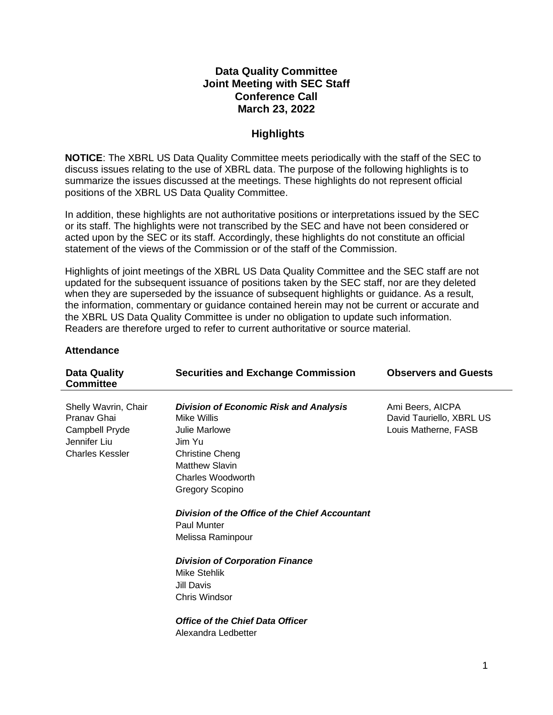#### **Data Quality Committee Joint Meeting with SEC Staff Conference Call March 23, 2022**

#### **Highlights**

**NOTICE**: The XBRL US Data Quality Committee meets periodically with the staff of the SEC to discuss issues relating to the use of XBRL data. The purpose of the following highlights is to summarize the issues discussed at the meetings. These highlights do not represent official positions of the XBRL US Data Quality Committee.

In addition, these highlights are not authoritative positions or interpretations issued by the SEC or its staff. The highlights were not transcribed by the SEC and have not been considered or acted upon by the SEC or its staff. Accordingly, these highlights do not constitute an official statement of the views of the Commission or of the staff of the Commission.

Highlights of joint meetings of the XBRL US Data Quality Committee and the SEC staff are not updated for the subsequent issuance of positions taken by the SEC staff, nor are they deleted when they are superseded by the issuance of subsequent highlights or guidance. As a result, the information, commentary or guidance contained herein may not be current or accurate and the XBRL US Data Quality Committee is under no obligation to update such information. Readers are therefore urged to refer to current authoritative or source material.

| <b>Data Quality</b><br><b>Committee</b>                                                         | <b>Securities and Exchange Commission</b>                                                                                                                                                 | <b>Observers and Guests</b>                                          |
|-------------------------------------------------------------------------------------------------|-------------------------------------------------------------------------------------------------------------------------------------------------------------------------------------------|----------------------------------------------------------------------|
| Shelly Wavrin, Chair<br>Pranav Ghai<br>Campbell Pryde<br>Jennifer Liu<br><b>Charles Kessler</b> | <b>Division of Economic Risk and Analysis</b><br>Mike Willis<br>Julie Marlowe<br>Jim Yu<br><b>Christine Cheng</b><br><b>Matthew Slavin</b><br>Charles Woodworth<br><b>Gregory Scopino</b> | Ami Beers, AICPA<br>David Tauriello, XBRL US<br>Louis Matherne, FASB |
|                                                                                                 | Division of the Office of the Chief Accountant<br><b>Paul Munter</b><br>Melissa Raminpour                                                                                                 |                                                                      |
|                                                                                                 | <b>Division of Corporation Finance</b><br><b>Mike Stehlik</b><br><b>Jill Davis</b><br><b>Chris Windsor</b>                                                                                |                                                                      |
|                                                                                                 | Office of the Chief Data Officer<br>Alexandra Ledbetter                                                                                                                                   |                                                                      |

#### **Attendance**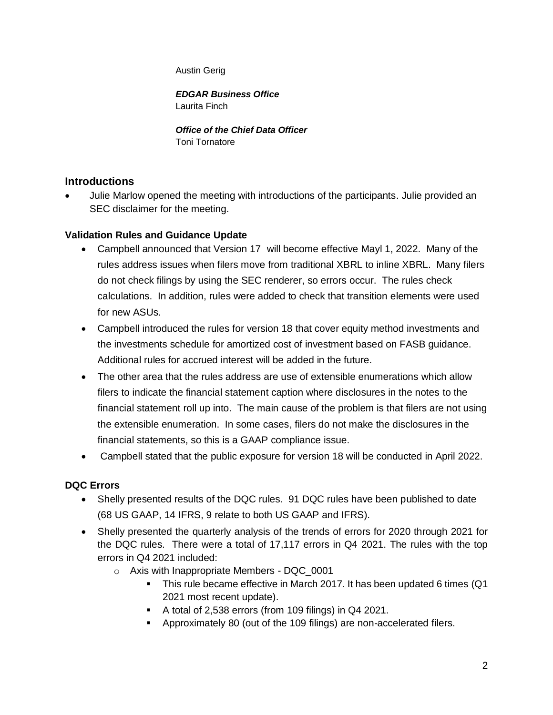Austin Gerig

*EDGAR Business Office* Laurita Finch

*Office of the Chief Data Officer* Toni Tornatore

## **Introductions**

• Julie Marlow opened the meeting with introductions of the participants. Julie provided an SEC disclaimer for the meeting.

## **Validation Rules and Guidance Update**

- Campbell announced that Version 17 will become effective Mayl 1, 2022. Many of the rules address issues when filers move from traditional XBRL to inline XBRL. Many filers do not check filings by using the SEC renderer, so errors occur. The rules check calculations. In addition, rules were added to check that transition elements were used for new ASUs.
- Campbell introduced the rules for version 18 that cover equity method investments and the investments schedule for amortized cost of investment based on FASB guidance. Additional rules for accrued interest will be added in the future.
- The other area that the rules address are use of extensible enumerations which allow filers to indicate the financial statement caption where disclosures in the notes to the financial statement roll up into. The main cause of the problem is that filers are not using the extensible enumeration. In some cases, filers do not make the disclosures in the financial statements, so this is a GAAP compliance issue.
- Campbell stated that the public exposure for version 18 will be conducted in April 2022.

# **DQC Errors**

- Shelly presented results of the DQC rules. 91 DQC rules have been published to date (68 US GAAP, 14 IFRS, 9 relate to both US GAAP and IFRS).
- Shelly presented the quarterly analysis of the trends of errors for 2020 through 2021 for the DQC rules. There were a total of 17,117 errors in Q4 2021. The rules with the top errors in Q4 2021 included:
	- o Axis with Inappropriate Members DQC\_0001
		- This rule became effective in March 2017. It has been updated 6 times (Q1 2021 most recent update).
		- A total of 2,538 errors (from 109 filings) in Q4 2021.
		- Approximately 80 (out of the 109 filings) are non-accelerated filers.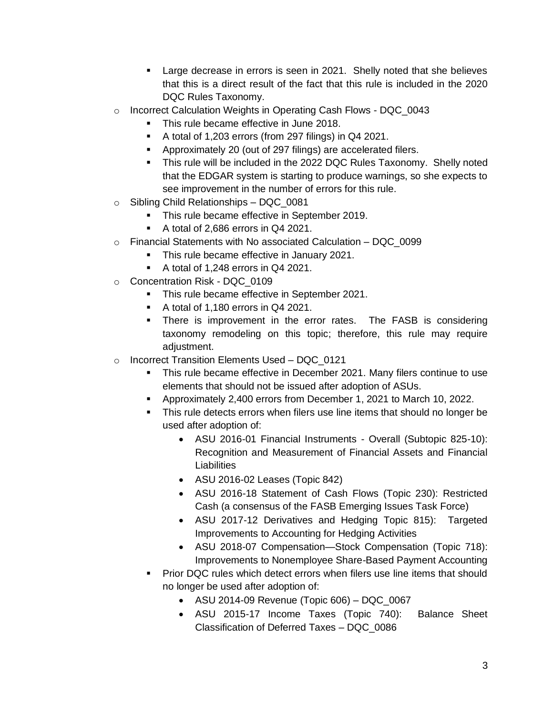- **EXECT** Large decrease in errors is seen in 2021. Shelly noted that she believes that this is a direct result of the fact that this rule is included in the 2020 DQC Rules Taxonomy.
- o Incorrect Calculation Weights in Operating Cash Flows DQC\_0043
	- This rule became effective in June 2018.
	- A total of 1,203 errors (from 297 filings) in Q4 2021.
	- Approximately 20 (out of 297 filings) are accelerated filers.
	- This rule will be included in the 2022 DQC Rules Taxonomy. Shelly noted that the EDGAR system is starting to produce warnings, so she expects to see improvement in the number of errors for this rule.
- $\circ$  Sibling Child Relationships DQC 0081
	- **This rule became effective in September 2019.**
	- A total of 2,686 errors in Q4 2021.
- $\circ$  Financial Statements with No associated Calculation DQC 0099
	- This rule became effective in January 2021.
	- A total of 1,248 errors in Q4 2021.
- o Concentration Risk DQC\_0109
	- **This rule became effective in September 2021.**
	- A total of 1,180 errors in Q4 2021.
	- **•** There is improvement in the error rates. The FASB is considering taxonomy remodeling on this topic; therefore, this rule may require adjustment.
- o Incorrect Transition Elements Used DQC\_0121
	- This rule became effective in December 2021. Many filers continue to use elements that should not be issued after adoption of ASUs.
	- Approximately 2,400 errors from December 1, 2021 to March 10, 2022.
	- This rule detects errors when filers use line items that should no longer be used after adoption of:
		- ASU 2016-01 Financial Instruments Overall (Subtopic 825-10): Recognition and Measurement of Financial Assets and Financial Liabilities
		- ASU 2016-02 Leases (Topic 842)
		- ASU 2016-18 Statement of Cash Flows (Topic 230): Restricted Cash (a consensus of the FASB Emerging Issues Task Force)
		- ASU 2017-12 Derivatives and Hedging Topic 815): Targeted Improvements to Accounting for Hedging Activities
		- ASU 2018-07 Compensation—Stock Compensation (Topic 718): Improvements to Nonemployee Share-Based Payment Accounting
	- Prior DQC rules which detect errors when filers use line items that should no longer be used after adoption of:
		- ASU 2014-09 Revenue (Topic 606) DQC\_0067
		- ASU 2015-17 Income Taxes (Topic 740): Balance Sheet Classification of Deferred Taxes – DQC\_0086